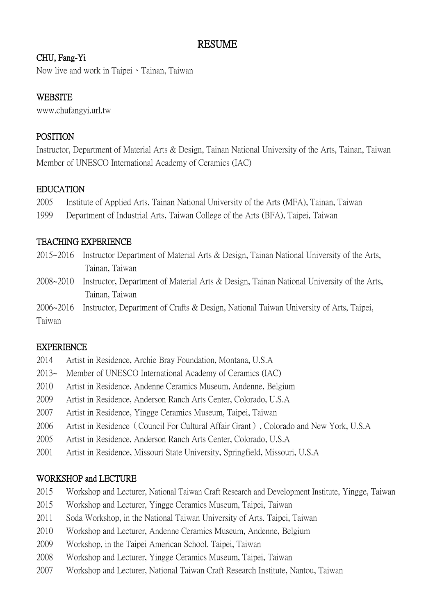# RESUME

# CHU, Fang-Yi

Now live and work in Taipei、Tainan, Taiwan

# **WEBSITE**

www.chufangyi.url.tw

# POSITION

Instructor, Department of Material Arts & Design, Tainan National University of the Arts, Tainan, Taiwan Member of UNESCO International Academy of Ceramics (IAC)

#### EDUCATION

- 2005 Institute of Applied Arts, Tainan National University of the Arts (MFA), Tainan, Taiwan
- 1999 Department of Industrial Arts, Taiwan College of the Arts (BFA), Taipei, Taiwan

## TEACHING EXPERIENCE

- 2015~2016 Instructor Department of Material Arts & Design, Tainan National University of the Arts, Tainan, Taiwan
- 2008~2010 Instructor, Department of Material Arts & Design, Tainan National University of the Arts, Tainan, Taiwan
- 2006~2016 Instructor, Department of Crafts & Design, National Taiwan University of Arts, Taipei, Taiwan

#### EXPERIENCE

- 2014 Artist in Residence, Archie Bray Foundation, Montana, U.S.A 2013~ Member of UNESCO International Academy of Ceramics (IAC) 2010 Artist in Residence, Andenne Ceramics Museum, Andenne, Belgium 2009 Artist in Residence, Anderson Ranch Arts Center, Colorado, U.S.A 2007 Artist in Residence, Yingge Ceramics Museum, Taipei, Taiwan 2006 Artist in Residence(Council For Cultural Affair Grant), Colorado and New York, U.S.A 2005 Artist in Residence, Anderson Ranch Arts Center, Colorado, U.S.A
- 2001 Artist in Residence, Missouri State University, Springfield, Missouri, U.S.A

#### WORKSHOP and LECTURE

- 2015 Workshop and Lecturer, National Taiwan Craft Research and Development Institute, Yingge, Taiwan
- 2015 Workshop and Lecturer, Yingge Ceramics Museum, Taipei, Taiwan
- 2011 Soda Workshop, in the National Taiwan University of Arts. Taipei, Taiwan
- 2010 Workshop and Lecturer, Andenne Ceramics Museum, Andenne, Belgium
- 2009 Workshop, in the Taipei American School. Taipei, Taiwan
- 2008 Workshop and Lecturer, Yingge Ceramics Museum, Taipei, Taiwan
- 2007 Workshop and Lecturer, National Taiwan Craft Research Institute, Nantou, Taiwan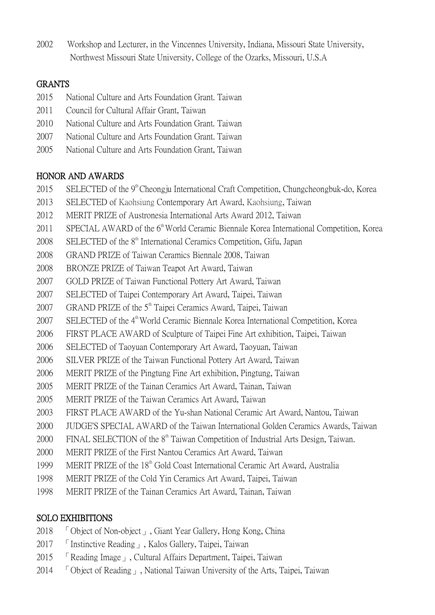2002 Workshop and Lecturer, in the Vincennes University, Indiana, Missouri State University, Northwest Missouri State University, College of the Ozarks, Missouri, U.S.A

# **GRANTS**

- 2015 National Culture and Arts Foundation Grant. Taiwan
- 2011 Council for Cultural Affair Grant, Taiwan
- 2010 National Culture and Arts Foundation Grant. Taiwan
- 2007 National Culture and Arts Foundation Grant. Taiwan
- 2005 National Culture and Arts Foundation Grant, Taiwan

#### HONOR AND AWARDS

- 2015 SELECTED of the 9<sup>th</sup> Cheongju International Craft Competition, Chungcheongbuk-do, Korea
- 2013 SELECTED of Kaohsiung Contemporary Art Award, Kaohsiung, Taiwan
- 2012 MERIT PRIZE of Austronesia International Arts Award 2012, Taiwan
- 2011 SPECIAL AWARD of the 6<sup>th</sup> World Ceramic Biennale Korea International Competition, Korea
- 2008 SELECTED of the 8<sup>th</sup> International Ceramics Competition, Gifu, Japan
- 2008 GRAND PRIZE of Taiwan Ceramics Biennale 2008, Taiwan
- 2008 BRONZE PRIZE of Taiwan Teapot Art Award, Taiwan
- 2007 GOLD PRIZE of Taiwan Functional Pottery Art Award, Taiwan
- 2007 SELECTED of Taipei Contemporary Art Award, Taipei, Taiwan
- 2007 GRAND PRIZE of the  $5<sup>th</sup>$  Taipei Ceramics Award, Taipei, Taiwan
- 2007 SELECTED of the 4<sup>th</sup> World Ceramic Biennale Korea International Competition, Korea
- 2006 FIRST PLACE AWARD of Sculpture of Taipei Fine Art exhibition, Taipei, Taiwan
- 2006 SELECTED of Taoyuan Contemporary Art Award, Taoyuan, Taiwan
- 2006 SILVER PRIZE of the Taiwan Functional Pottery Art Award, Taiwan
- 2006 MERIT PRIZE of the Pingtung Fine Art exhibition, Pingtung, Taiwan
- 2005 MERIT PRIZE of the Tainan Ceramics Art Award, Tainan, Taiwan
- 2005 MERIT PRIZE of the Taiwan Ceramics Art Award, Taiwan
- 2003 FIRST PLACE AWARD of the Yu-shan National Ceramic Art Award, Nantou, Taiwan
- 2000 JUDGE'S SPECIAL AWARD of the Taiwan International Golden Ceramics Awards, Taiwan
- 2000 FINAL SELECTION of the 8<sup>th</sup> Taiwan Competition of Industrial Arts Design, Taiwan.
- 2000 MERIT PRIZE of the First Nantou Ceramics Art Award, Taiwan
- 1999 MERIT PRIZE of the 18<sup>th</sup> Gold Coast International Ceramic Art Award, Australia
- 1998 MERIT PRIZE of the Cold Yin Ceramics Art Award, Taipei, Taiwan
- 1998 MERIT PRIZE of the Tainan Ceramics Art Award, Tainan, Taiwan

#### SOLO EXHIBITIONS

- 2018 「Object of Non-object」, Giant Year Gallery, Hong Kong, China
- 2017 「Instinctive Reading」, Kalos Gallery, Taipei, Taiwan
- 2015 「Reading Image」, Cultural Affairs Department, Taipei, Taiwan
- 2014 「Object of Reading」, National Taiwan University of the Arts, Taipei, Taiwan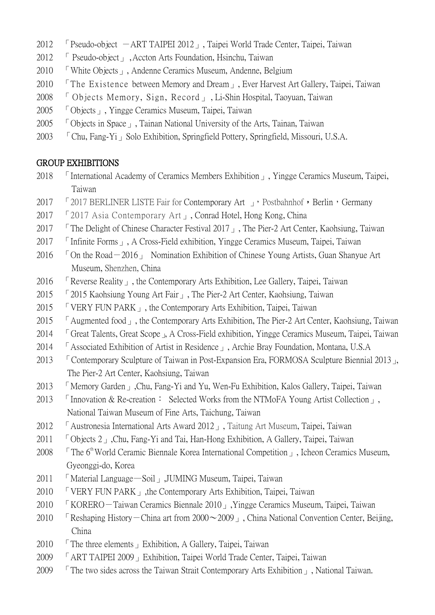- 2012 **F** Pseudo-object  $-ART$  TAIPEI 2012  $\mu$ , Taipei World Trade Center, Taipei, Taiwan
- 2012 「 Pseudo-object」 ,Accton Arts Foundation, Hsinchu, Taiwan
- 2010 「White Objects」, Andenne Ceramics Museum, Andenne, Belgium
- 2010 「The Existence between Memory and Dream」, Ever Harvest Art Gallery, Taipei, Taiwan
- 2008 「 Objects Memory, Sign, Record」 , Li-Shin Hospital, Taoyuan, Taiwan
- 2005 「Objects」, Yingge Ceramics Museum, Taipei, Taiwan
- 2005 「Objects in Space」, Tainan National University of the Arts, Tainan, Taiwan
- 2003 「Chu, Fang-Yi」Solo Exhibition, Springfield Pottery, Springfield, Missouri, U.S.A.

## GROUP EXHIBITIONS

- 2018 <sup>I</sup> International Academy of Ceramics Members Exhibition <sub>J</sub>, Yingge Ceramics Museum, Taipei, Taiwan
- 2017 「2017 BERLINER LISTE Fair for Contemporary Art 」, Postbahnhof, Berlin, Germany
- 2017 「2017 Asia Contemporary Art」, Conrad Hotel, Hong Kong, China
- 2017 「The Delight of Chinese Character Festival 2017」, The Pier-2 Art Center, Kaohsiung, Taiwan
- 2017 「Infinite Forms」, A Cross-Field exhibition, Yingge Ceramics Museum, Taipei, Taiwan
- 2016  $\top$  On the Road  $-2016$  Nomination Exhibition of Chinese Young Artists, Guan Shanyue Art Museum, Shenzhen, China
- 2016 「Reverse Reality」, the Contemporary Arts Exhibition, Lee Gallery, Taipei, Taiwan
- 2015 「[2015 Kaohsiung Young Art](http://pier-2.khcc.gov.tw/eng/home02.aspx?ID=$3002&IDK=2&EXEC=L) Fair」, The Pier-2 Art Center, Kaohsiung, Taiwan
- 2015 「VERY FUN PARK」, the Contemporary Arts Exhibition, Taipei, Taiwan
- 2015 「Augmented food」, the Contemporary Arts Exhibition, The Pier-2 Art Center, Kaohsiung, Taiwan
- 2014 「Great Talents, Great Scope」, A Cross-Field exhibition, Yingge Ceramics Museum, Taipei, Taiwan
- 2014 「Associated Exhibition of Artist in Residence」, Archie Bray Foundation, Montana, U.S.A
- 2013 「Contemporary Sculpture of Taiwan in Post-Expansion Era, FORMOSA Sculpture Biennial 2013」, The Pier-2 Art Center, Kaohsiung, Taiwan
- 2013 「Memory Garden」,Chu, Fang-Yi and Yu, Wen-Fu Exhibition, Kalos Gallery, Taipei, Taiwan
- 2013 「Innovation & Re-creation: Selected Works from the NTMoFA Young Artist Collection」, National Taiwan Museum of Fine Arts, Taichung, Taiwan
- 2012 「Austronesia International Arts Award 2012」, Taitung Art Museum, Taipei, Taiwan
- 2011 「Objects 2」, Chu, Fang-Yi and Tai, Han-Hong Exhibition, A Gallery, Taipei, Taiwan
- 2008  $\Box$  The 6<sup>th</sup> World Ceramic Biennale Korea International Competition  $\Box$ , Icheon Ceramics Museum, Gyeonggi-do, Korea
- 2011 「Material Language—Soil」,JUMING Museum, Taipei, Taiwan
- 2010 **EVERY FUN PARK**, the Contemporary Arts Exhibition, Taipei, Taiwan
- 2010 「KORERO-Taiwan Ceramics Biennale 2010」,Yingge Ceramics Museum, Taipei, Taiwan
- 2010 F Reshaping History China art from  $2000 \sim 2009$ , China National Convention Center, Beijing, China
- 2010 F The three elements Exhibition, A Gallery, Taipei, Taiwan
- 2009 「ART TAIPEI 2009」Exhibition, Taipei World Trade Center, Taipei, Taiwan
- 2009 「The two sides across the Taiwan Strait Contemporary Arts Exhibition」, National Taiwan.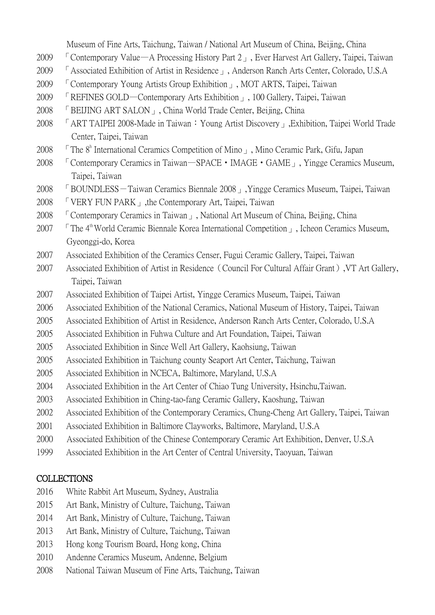Museum of Fine Arts, Taichung, Taiwan / National Art Museum of China, Beijing, China

- 2009 「Contemporary Value—A Processing History Part 2」, Ever Harvest Art Gallery, Taipei, Taiwan
- 2009 「Associated Exhibition of Artist in Residence」, Anderson Ranch Arts Center, Colorado, U.S.A
- 2009 「Contemporary Young Artists Group Exhibition」, MOT ARTS, Taipei, Taiwan
- 2009 「REFINES GOLD—Contemporary Arts Exhibition」, 100 Gallery, Taipei, Taiwan
- 2008 「BEIJING ART SALON」, China World Trade Center, Beijing, China
- 2008 「ART TAIPEI 2008-Made in Taiwan:Young Artist Discovery」,Exhibition, Taipei World Trade Center, Taipei, Taiwan
- 2008 F The 8<sup>h</sup> International Ceramics Competition of Mino 1, Mino Ceramic Park, Gifu, Japan
- 2008 「Contemporary Ceramics in Taiwan—SPACE‧IMAGE‧GAME」, Yingge Ceramics Museum, Taipei, Taiwan
- 2008 「BOUNDLESS-Taiwan Ceramics Biennale 2008」,Yingge Ceramics Museum, Taipei, Taiwan
- 2008 「VERY FUN PARK」,the Contemporary Art, Taipei, Taiwan
- 2008 「Contemporary Ceramics in Taiwan」, National Art Museum of China, Beijing, China
- 2007 「The 4 th World Ceramic Biennale Korea International Competition」, Icheon Ceramics Museum, Gyeonggi-do, Korea
- 2007 Associated Exhibition of the Ceramics Censer, Fugui Ceramic Gallery, Taipei, Taiwan
- 2007 Associated Exhibition of Artist in Residence(Council For Cultural Affair Grant),VT Art Gallery, Taipei, Taiwan
- 2007 Associated Exhibition of Taipei Artist, Yingge Ceramics Museum, Taipei, Taiwan
- 2006 Associated Exhibition of the National Ceramics, National Museum of History, Taipei, Taiwan
- 2005 Associated Exhibition of Artist in Residence, Anderson Ranch Arts Center, Colorado, U.S.A
- 2005 Associated Exhibition in Fuhwa Culture and Art Foundation, Taipei, Taiwan
- 2005 Associated Exhibition in Since Well Art Gallery, Kaohsiung, Taiwan
- 2005 Associated Exhibition in Taichung county Seaport Art Center, Taichung, Taiwan
- 2005 Associated Exhibition in NCECA, Baltimore, Maryland, U.S.A
- 2004 Associated Exhibition in the Art Center of Chiao Tung University, Hsinchu,Taiwan.
- 2003 Associated Exhibition in Ching-tao-fang Ceramic Gallery, Kaoshung, Taiwan
- 2002 Associated Exhibition of the Contemporary Ceramics, Chung-Cheng Art Gallery, Taipei, Taiwan
- 2001 Associated Exhibition in Baltimore Clayworks, Baltimore, Maryland, U.S.A
- 2000 Associated Exhibition of the Chinese Contemporary Ceramic Art Exhibition, Denver, U.S.A
- 1999 Associated Exhibition in the Art Center of Central University, Taoyuan, Taiwan

# **COLLECTIONS**

- 2016 White Rabbit Art Museum, Sydney, Australia
- 2015 Art Bank, Ministry of Culture, Taichung, Taiwan
- 2014 Art Bank, Ministry of Culture, Taichung, Taiwan
- 2013 Art Bank, Ministry of Culture, Taichung, Taiwan
- 2013 Hong kong Tourism Board, Hong kong, China
- 2010 Andenne Ceramics Museum, Andenne, Belgium
- 2008 National Taiwan Museum of Fine Arts, Taichung, Taiwan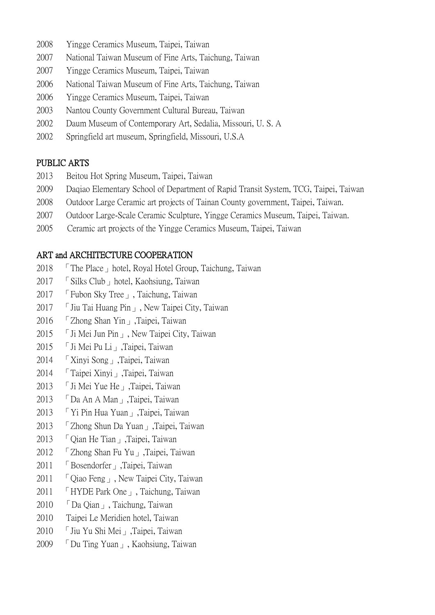- 2008 Yingge Ceramics Museum, Taipei, Taiwan
- 2007 National Taiwan Museum of Fine Arts, Taichung, Taiwan
- 2007 Yingge Ceramics Museum, Taipei, Taiwan
- 2006 National Taiwan Museum of Fine Arts, Taichung, Taiwan
- 2006 Yingge Ceramics Museum, Taipei, Taiwan
- 2003 Nantou County Government Cultural Bureau, Taiwan
- 2002 Daum Museum of Contemporary Art, Sedalia, Missouri, U. S. A
- 2002 Springfield art museum, Springfield, Missouri, U.S.A

# PUBLIC ARTS

- 2013 Beitou Hot Spring Museum, Taipei, Taiwan
- 2009 Daqiao Elementary School of Department of Rapid Transit System, TCG, Taipei, Taiwan
- 2008 Outdoor Large Ceramic art projects of Tainan County government, Taipei, Taiwan.
- 2007 Outdoor Large-Scale Ceramic Sculpture, Yingge Ceramics Museum, Taipei, Taiwan.
- 2005 Ceramic art projects of the Yingge Ceramics Museum, Taipei, Taiwan

## ART and ARCHITECTURE COOPERATION

- 2018 「The Place」hotel, Royal Hotel Group, Taichung, Taiwan
- 2017 「[Silks Club](https://www.facebook.com/silksclub/)」hotel, Kaohsiung, Taiwan
- 2017 「Fubon Sky Tree」, Taichung, Taiwan
- 2017 「Jiu Tai Huang Pin」, New Taipei City, Taiwan
- 2016 「Zhong Shan Yin」,Taipei, Taiwan
- 2015 「Ji Mei Jun Pin」, New Taipei City, Taiwan
- 2015 「Ji Mei Pu Li」,Taipei, Taiwan
- 2014 「Xinyi Song」,Taipei, Taiwan
- 2014 「Taipei Xinyi」,Taipei, Taiwan
- 2013 「Ji Mei Yue He」,Taipei, Taiwan
- 2013 「Da An A Man」,Taipei, Taiwan
- 2013 「Yi Pin Hua Yuan」,Taipei, Taiwan
- 2013 「Zhong Shun Da Yuan」,Taipei, Taiwan
- 2013 「Qian He Tian」,Taipei, Taiwan
- 2012 「Zhong Shan Fu Yu」,Taipei, Taiwan
- 2011 「Bosendorfer」,Taipei, Taiwan
- 2011 「 Qiao Feng 」, New Taipei City, Taiwan
- 2011 「HYDE Park One」, Taichung, Taiwan
- 2010 「Da Qian」, Taichung, Taiwan
- 2010 Taipei Le Meridien hotel, Taiwan
- 2010 「Jiu Yu Shi Mei」,Taipei, Taiwan
- 2009 「Du Ting Yuan」, Kaohsiung, Taiwan